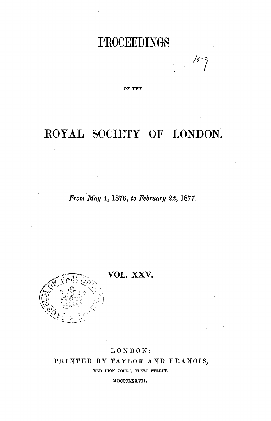# **PROOEEDINGS**

OF THE

# **ROYAL SOCIETY OF LONDON.**

*From May* 4, 1876, *to Fehruary* 22, 1877.



**VOL. XXV.** 

## LONDON: PRINTED BY TAYLOR AND FRANCIS, RED LION COURT, FLEET STREET.

MDCCCLXXVII.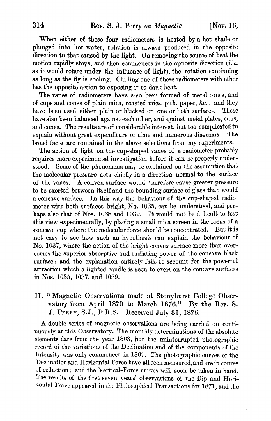When either of these four radiometers is heated by a hot shade or plunged into hot water, rotation is always produced in the opposite direction to that caused by the light. On removing the source of heat the motion rapidly stops, and then commences in the opposite direction (*i. e.* as it would rotate under the influence of light), the rotation continuing as long as the fly is cooling. Chilling one of these radiometers with ether has the opposite action to exposing it to dark heat.

The vanes of radiometers have also been formed of metal cones, and of cups and cones of plain mica, roasted mica, pith, paper, &c.; and they have been used either plain or blacked on one or both surfaces. These have also been balanced against each other, and against metal plates, cups, and cones. The results are of considerable interest, but too complicated to explain without great expenditure of time and numerous diagrams. The broad facts are contained in the above selections from my experiments.

The action of light on the cup-shaped vanes of a radiometer probably requires more experimental investigation before it can be properly understood. Some of the phenomena may be explained on the assumption that the molecular pressure acts chiefly in a direction normal to the surface of the vanes. A convex surface would therefore cause greater pressure to be exerted between itself and the bounding surface of glass than would a concave surface. In this way the behaviour of the cup-shaped radiometer with both surfaces bright, No. 1035, can be understood, and perhaps also that of Nos. 1038 and 1039. It would not be difficult to test this view experimentally, by placing a small mica screen in the focus of a concave cup where the molecular force should be concentrated. But it is not easy to see how such an hypothesis can explain the behaviour of No. 1037, where the action of the bright convex surface more than overcomes the superior absorptive and radiating power of the concave black surface; and the explanation entirely fails to account for the powerful attraction which a lighted candle is seen to exert on the concave surfaces in NOB. 1035, 1037, and 1039.

### II. "Magnetic Observations made at Stonyhurst College Observatory from April 1870 to March 1876." By the Rev. S. vatory from April 1870 to March  $1876$ ." J. PERRY, S.J., F.R.S. Received July 31, 1876.

A double series of magnetic observations are being carried on continuously at this Observatory. The monthly determinations of the absolute elements date from the year 1863, but the uninterrupted photographic record of the variations of the Declination and of the components of the Intensity was only commenced in 1867. The photographic curves of the Declination and Horizontal Force have all been measured, and are in course of reduction; and the Vertical-Force curves will soon be taken in hand. The results of the first seven years' observations of the Dip and Horizontal Force appeared in the Philosophical Transactions for 1871, and the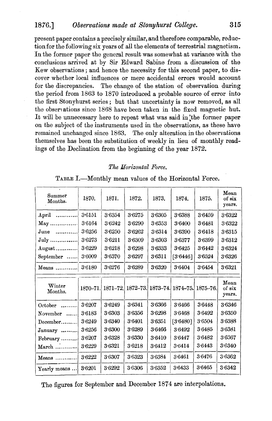present paper contains a precisely similar, and therefore comparable, reductionfor the following six years of all the elements of terrestrial magnetism. In the former paper the general result was somewhat at variance with the conclusions arrived at by Sir Edward Sabine from a discussion of the Rew observations; and hence the necessity for this second paper, to discover whether local influences or mere accidental errors would account for the discrepancies. The change of the station of observation during the period from 1863 to 1870 introduced a probable source of error into the first Stonyhurst series; but that uncertainty is now removed, as all the observations since 1868 have been taken in the fixed magnetic hut. It will be unnecessary here to repeat what was said in the former paper on the subject of the instruments used in the observations, as these have remained unchanged since 1863. The only alteration in the observations themselves has been the substitution of weekly in lieu of monthly readings of the Declination from the beginning of the year 1872.

#### *The Horizontal Force.*

TABLE I.-Monthly mean values of the Horizontal Force.

| Summer<br>Months.                 | 1870.      | 1871.  | 1872.  | 1873.  | 1874.                               | 1875.    | Mean<br>of six<br>years. |
|-----------------------------------|------------|--------|--------|--------|-------------------------------------|----------|--------------------------|
| $_{\rm April}$<br>.               | $3 - 6151$ | 3.6354 | 3.6275 | 3.6305 | 3.6388                              | 3.6459   | 3.6322                   |
| $May \dots \dots \dots \dots$     | 3.6164     | 3.6242 | 3.6290 | 3.6353 | 3.6400                              | 3.6481   | 3.6322                   |
| $June$                            | 3.6256     | 3.6250 | 3.6262 | 3.6314 | 3.6390                              | 3.6418   | 3.6315                   |
| July                              | 3.6273     | 3.6211 | 3.6309 | 3.6303 | 3.6377                              | 3.6399   | 3.6312                   |
| $\rm{August}\dots\dots\dots\dots$ | 3.6229     | 3.6218 | 3.6298 | 3.6333 | 3.6425                              | 3.6442   | 3.6324                   |
| September                         | 3.6009     | 3.6370 | 3.6297 | 3:6311 | [3.6446]                            | 3.6524   | 3.6326                   |
| Means                             | 3.6180     | 3.6276 | 3.6289 | 3.6320 | 3.6404                              | 3.6454   | 3.6321                   |
|                                   |            |        |        |        |                                     |          |                          |
| Winter<br>Months.                 | 1870–71.   |        |        |        | 1871-72. 1872-73. 1873-74. 1874-75. | 1875-76. | Mean<br>of six<br>years. |
| October<br>1.1.1.1.1.1            | 3.6207     | 3.6249 | 3.6341 | 3.6366 | 3.6466                              | 3.6448   | 3.6346                   |
| November                          | 3.6183     | 3.6303 | 3.6356 | 3.6298 | 3.6468                              | 3.6492   | 3.6350                   |
| $December$                        | 3.6249     | 3.6340 | 3.6401 | 3.6351 | [3.6480]                            | 3.6504   | 3.6388                   |
| January                           | 3.6256     | 3.6300 | 3.6289 | 3.6466 | 3.6492                              | 3.6485   | 3.6381                   |
| $February$                        | 3.6207     | 3.6328 | 3.6330 | 3.6410 | 3.6447                              | 3.6482   | 3.6367                   |
| $March$                           | $3 - 6229$ | 3.6321 | 3.6218 | 3.6412 | 3.6414                              | 3.6443   | 3.6340                   |
| $Means$                           | 3.6222     | 3.6307 | 36323  | 3.6384 | 3.6461                              | 3.6476   | 3.6362                   |

The figures for September and December 1874 are interpolations.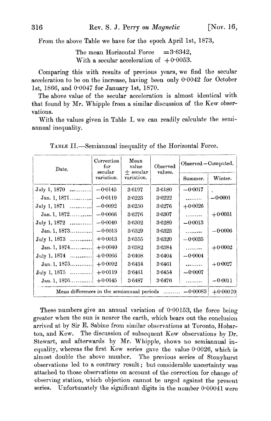.From the above Table we have for the epoch April 1st, 1873,

The mean Horizontal Force  $=3.6342$ , With a secular acceleration of  $\pm 0.0053$ .

Comparing this with results of previous years, we find the secular acceleration to be on the increase, having been only 0'0042 for October 1st, 1866, and 0'0047 for January 1st, 1870.

The above value of the secular acceleration is almost identical with that found by Mr. Whipple from a similar discussion of the Kew observations.

With the values given in Table I. we can readily calculate the semiannual inequality.

| Date.                                                                      | Correction<br>for<br>secular | Mean<br>value<br>$+$ secular | Observed<br>values. | Observed – Computed. |            |  |  |
|----------------------------------------------------------------------------|------------------------------|------------------------------|---------------------|----------------------|------------|--|--|
|                                                                            | variation.                   | variation.                   |                     | Summer.              | Winter.    |  |  |
| July 1, 1870                                                               | $-0.0145$                    | 3.6197                       | 3.6180              | $-0.0017$            |            |  |  |
| Jan. 1, $1871$                                                             | $-0.0119$                    | 3.6223                       | 3.6222              | .                    | $-0.0001$  |  |  |
| July 1, 1871                                                               | $-0.0092$                    | 3.6250                       | 3.6276              | $+0.0026$            |            |  |  |
| Jan. 1, $1872$                                                             | $-0.0066$                    | 3.6276                       | 3.6307              | .                    | $+0.0031$  |  |  |
| July 1, 1872                                                               | $-0.0040$                    | 3.6302                       | 3.6289              | $-0.0013$            |            |  |  |
| Jan. 1, 1873                                                               | $-0.0013$                    | 36329                        | 3.6323              | .                    | $-0.0006$  |  |  |
| $July 1, 1873$                                                             | $+0.0013$                    | 3.6355                       | 3.6320              | $-0.0035$            |            |  |  |
| Jan. 1, 1874                                                               | $+0.0040$                    | 3.6382                       | 3.6384              | .                    | $+0.0002$  |  |  |
| $July 1, 1874$                                                             | $+0.0066$                    | 3.6408                       | 3.6404              | $-0.0004$            |            |  |  |
| Jan.1, 1875                                                                | $+0.0092$                    | 3.6434                       | 3.6461              |                      | $+0.0027$  |  |  |
| $\text{July } 1,1875$                                                      | $+0.0119$                    | 3.6461                       | 3.6454              | $-0.0007$            |            |  |  |
| Jan. 1, 1876                                                               | $+0.0145$                    | 3.6487                       | 3.6476              | .                    | $-0.0011$  |  |  |
| Mean differences in the semiannual periods $\ldots \ldots \ldots -0.00083$ |                              |                              |                     |                      | $+0.00070$ |  |  |

TABLE II.-Semiannual inequality of the Horizontal Force.

These numbers give an annual variation of 0.00153, the force being greater when the sun is nearer the eartb, which bears out tbe conclusion arrived at by Sir E. Sabine from similar observations at Toronto, Hobarton, and Kew. The discussion of subsequent Kew observations by Dr. Stewart, and afterwards by Mr. Whipple, shows no semiannual inequality, whereas the first Kew series gave the value  $0.0026$ , which is almost double the above number. The previous series of Stonyhurst observations led to a contrary result; but considerable uncertainty was attached to tbose observations on account of the correction for change of observing station, which objection cannot be urged against tbe present series. Unfortunately the significant digits in the number 0.00041 were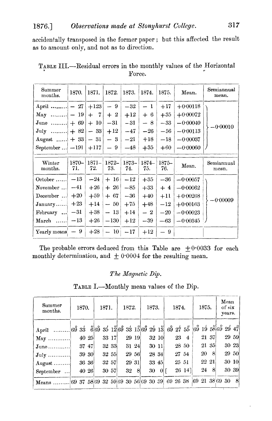accidentally transposed in the former paper; but this affected the result as to amount only, and not as to direction.

| Summer<br>months.                           | 1870.           | 1871.           | 1872.           | 1873.          | 1874.           | 1875.           | Mean.      | Semiannual<br>mean. |
|---------------------------------------------|-----------------|-----------------|-----------------|----------------|-----------------|-----------------|------------|---------------------|
| April $- 27$                                |                 | $+123$          | -9              | $-32$          | - 1             | $+17$           | $+0.00118$ |                     |
| $\text{May} \quad \dots \dots \dots \mid -$ | 19 <sup>°</sup> | - 7<br>$+$      | $+2$            | $+12$          | $+6$            | $+35$           | $+0.00072$ |                     |
| June $+ 69$                                 |                 | $+10$           | $-31$           | $-31$          | - 8             | $-33$           | $-0.00040$ | 0.00010             |
| July $+ 82$                                 |                 | $-33$           | $+12$           | $-47$          | $-26$           | $-56$           | $-0.00113$ |                     |
| August $+ 33$                               |                 | $-31$           | $-3$            | $-21$          | $+18$           | $-18$           | $-0.00037$ |                     |
| September $\ldots$ -191                     |                 | $+117$          | $-9$            | $-48$          | $+35$           | $+60$           | $-0.00060$ |                     |
|                                             |                 |                 |                 |                |                 |                 |            |                     |
| Winter<br>months.                           | 1870-<br>71.    | $1871 -$<br>72. | $1872 -$<br>73. | $1873-$<br>74. | $1874 -$<br>75. | $1875 -$<br>76. | Mean.      | Semiannual<br>mean. |
| $October \dots$                             | $-13$           | $-24$           | $+16$           | $-12$          | $+35$           | $-36$           | $-0.00057$ |                     |
| November                                    | $-41$           | $+26$           | $+26$           | $-85$          | $+33$           | $+4$            | $-0.00062$ |                     |
| December                                    | $+20$           | $+59$           | $+ 67$          | $-36$          | $+40$           | $+11$           | $+0.00268$ |                     |
| $January \dots$                             | $+23$           | $+14$           | $-50$           | $+75$          | $+48$           | $-12$           | $+0.00163$ | $-0.00009$          |
| February                                    | $-31$           | $+38$           | $-13$           | $+14$          | $-2$            | $-20$           | $-0.00023$ |                     |
| $March$                                     | $-13$           | $+26$           | $-130$          | $+12$          | $-39$           | $-63$           | $-0.00345$ |                     |
| Yearly means                                | 9               | $+28$           | $-10$           | $-17$          | $+12$           | -9              |            |                     |

TABLE III.--Residual errors in the monthly values of the Horizontal Force.

The probable errors deduced from this Table are  $\pm 0.0033$  for each monthly determination, and  $\pm$  0.0004 for the resulting mean.

### The Magnetic Dip.

| Summer<br>months.  | 1870. |       | 1871. |       | 1872. |      | 1873. |                       | 1874. |                                                                                     | 1875. |       | Mean<br>of six<br>vears. |  |
|--------------------|-------|-------|-------|-------|-------|------|-------|-----------------------|-------|-------------------------------------------------------------------------------------|-------|-------|--------------------------|--|
|                    |       |       |       |       |       |      |       |                       |       |                                                                                     |       |       |                          |  |
| $\text{May}$       | 40 25 |       |       | 33 17 | 29 19 |      | 32 10 |                       |       | 23 4                                                                                |       | 21 37 | 29 59                    |  |
| $June \dots$       | 37 47 |       | 32 33 |       | 31 24 |      |       | 30 11                 |       | 28 50                                                                               | 21 35 |       | 30 23                    |  |
| $July \dots \dots$ | 39 30 |       | 32 55 |       | 29 56 |      | 28 34 |                       |       | 27 54                                                                               | 20 8  |       | 29 50                    |  |
| August             |       | 36 36 | 32 57 |       | 29'31 |      | 33 45 |                       |       | 25 51                                                                               | 22 21 |       | 30 10                    |  |
| September          |       | 40 26 |       | 30 57 |       | 32 S |       | $30 \quad 0 \text{ }$ |       | 26 14]                                                                              | 24    | 8     | 30 39                    |  |
| Means              |       |       |       |       |       |      |       |                       |       | $ 69\;37\;58 69\;32\;59 69\;30\;56 69\;30\;39 \;69\;26\;38\; 69\;21\;38 69\;30\;8 $ |       |       |                          |  |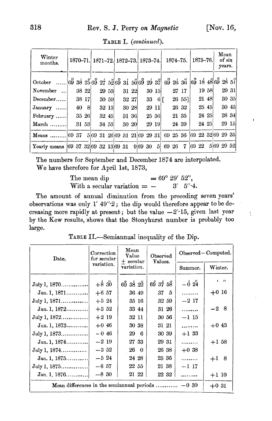$\frac{1}{\lambda}$ 

| Winter<br>months.                                                       |       |  |       |  |       |  |       |              | 1870-71. 1871-72. 1872-73. 1873-74. 1874-75. |        | 1875–76. |       | Mean<br>of six<br>years. |  |
|-------------------------------------------------------------------------|-------|--|-------|--|-------|--|-------|--------------|----------------------------------------------|--------|----------|-------|--------------------------|--|
| October  69 38 25 69 27 52 69 31 50 69 29 37 69 26 36 69 18 48 69 28 51 |       |  |       |  |       |  |       |              |                                              |        |          |       |                          |  |
| November                                                                | 38 22 |  | 29 53 |  | 31 22 |  |       | 30 15        |                                              | 27 17  |          | 19 58 | 29 31                    |  |
| $December$                                                              | 38 17 |  | 30 59 |  | 32 27 |  |       | $33 \quad 6$ |                                              | 26 551 | 21 48    |       | 30 35                    |  |
| $January$                                                               | 40 8  |  | 32 13 |  | 30 28 |  | 29 11 |              |                                              | 26 32  | 25 45    |       | 30 43                    |  |
| February                                                                | 35 26 |  | 32 45 |  | 31 36 |  | 25 36 |              |                                              | 21 35  | 24 25    |       | 28 34                    |  |
| March                                                                   | 31 53 |  | 34 53 |  | 30 20 |  |       | 29 19        |                                              | 24 39  | 24 25    |       | 29 15                    |  |
| $Means$                                                                 |       |  |       |  |       |  |       |              | 69 37 5 69 31 26 69 31 21 69 29 31 69 25 36  |        |          |       | 69 22 32 69 29 35        |  |
| Yearly means [69 37 32]69 32 13]69 31 9[69 30 5] 69 26                  |       |  |       |  |       |  |       |              |                                              | 7      | 69 22    |       | 5 69 29 52               |  |

TABLE I. (continued).

The numbers for September and December 1874 are interpolated. We have therefore for April 1st, 1873,

> $= 69^{\circ} 29' 52''.$ The mean dip With a secular variation  $=$   $5''·4.$  $3^{\prime}$

The amount of annual diminution from the preceding seven years' observations was only  $1'$  49" $2$ ; the dip would therefore appear to be decreasing more rapidly at present; but the value  $-2'$ -15, given last year by the Kew results, shows that the Stonyhurst number is probably too large.

| TABLE II.—Semiannual inequality of the Dip. |  |  |
|---------------------------------------------|--|--|
|---------------------------------------------|--|--|

| Date.                                      | Correction<br>for secular | Mean<br>Value<br>$+$ secular | Observed<br>Values. | Observed-Computed. |            |  |  |
|--------------------------------------------|---------------------------|------------------------------|---------------------|--------------------|------------|--|--|
|                                            | variation.                | variation.                   |                     | Summer.            | Winter.    |  |  |
|                                            |                           |                              |                     |                    | $\sqrt{ }$ |  |  |
| $July 1, 1870$                             | $+8^{5}30$                | 693822                       | 693758              | $-624$             |            |  |  |
| Jan. 1, 1871                               | $+657$                    | 36 49                        | 37 5                | .                  | $+0.16$    |  |  |
| July 1, 1871                               | $+524$                    | 35 16 1                      | 32 59               | $-217$             |            |  |  |
| Jan. 1, $1872$                             | $+3,52$                   | 33 44                        | 31 26               | .                  | $-28$      |  |  |
| July 1, 1872                               | $+219$                    | 32 11                        | 30 56               | $-115$             |            |  |  |
| $Jan. 1, 1873$                             | $+0.46$                   | 30 38                        | 31 21               | .                  | $+0.43$    |  |  |
| July 1, 1873                               | $-0.46$                   | 296                          | 30 39               | $+133$             |            |  |  |
| Jan. 1, 1874                               | $-219$                    | 27 33                        | 29 31               | .                  | $+1.58$    |  |  |
| July 1, 1874                               | $-3, 52$                  | 26 0                         | 26 38               | $+0.38$            |            |  |  |
| Jan. 1, $1875$                             | $-524$                    | 24 28                        | 25 36               | .                  | $+18$      |  |  |
| July 1, 1875                               | $-6, 57$                  | 22 55                        | 21 38               | $-117$             |            |  |  |
| Jan. 1, $1876$                             | $-8,30$                   | $21\ \ 22$                   | $22\ \,32$          |                    | $+110$     |  |  |
| Mean differences in the semiannual periods |                           |                              |                     | $-0.30$            | $+0.31$    |  |  |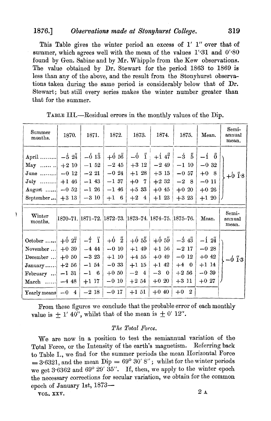#### 1876.] *Observations made at Stonyhurst College.* 319

This Table gives the winter period an excess of 1' 1" over that of summer, which agrees well with the mean of the values  $1'31$  and  $0'30$ found by Gen. Sabine and by Mr. Whipple from the Kew observations. The value obtained by Dr. Stewart for the period 1863 to 1869 is less than any of the above, and the result from the Stonyhurst observations taken during the same period is considerably below that of Dr. Stewart; but still every series makes the winter number greater than that for the summer.

| Summer<br>months.                                                                                              | 1870.                                                      | 1871.                                                              | 1872.                                                                            | 1873.                                                                           | 1874.                                                                        | 1875.                                                               | Mean.                                                         | Semi-<br>annual<br>mean. |
|----------------------------------------------------------------------------------------------------------------|------------------------------------------------------------|--------------------------------------------------------------------|----------------------------------------------------------------------------------|---------------------------------------------------------------------------------|------------------------------------------------------------------------------|---------------------------------------------------------------------|---------------------------------------------------------------|--------------------------|
| April $-5 \frac{24}{3}$<br>$\mathbf{May} \dots \dots$<br>$June \dots$<br>$July \dots$<br>$August$<br>September | $+210$<br>$-0.12$<br>$+146$<br>$-0.52$<br>$+313$           | $-613$<br>$-1, 52$<br>$-221$<br>$-143$<br>$-126$<br>$-310$         | $+656$<br>$-245$<br>$-0.24$<br>$-137$<br>$-146$<br>$+1$ 6                        | $-6$ i<br>$+3$ 12<br>$+128$<br>$+0$ 7<br>$+533$<br>$+2$ 4                       | $+147$<br>$-249$<br>$+313$<br>$+232$<br>$+0.45$<br>$+123$                    | $-3\frac{6}{5}$<br>$-110$<br>$-0.57$<br>$-28$<br>$+0.20$<br>$+323$  | $-0.32$<br>$+0.8$<br>$-011$<br>$+0.26$<br>$+120$              | $+6$ 1 <sup>.8</sup>     |
| $\operatorname{Winter}$<br>months.                                                                             |                                                            |                                                                    |                                                                                  |                                                                                 | 1870–71.  1871–72.  1872–73.  1873–74.  1874–75.  1875–76.                   |                                                                     | Mean.                                                         | Semi-<br>annual<br>mean. |
| October $\dots$<br>November<br>December<br>$January \dots$<br>February<br>March $-448$<br>Yearly means         | $+627$<br>$+0.39$<br>$+0.50$<br>$+256$<br>$-131$<br>$-0.4$ | $-7i$<br>$-444$<br>$-323$<br>$-1,54$<br>$-1$ 6<br>$+117$<br>$-218$ | $+6\frac{6}{2}$<br>$-010$<br>$+1$ 10<br>$-0.33$<br>$+0.50$<br>$-0.10$<br>$-0.17$ | $+65\frac{3}{5}$<br>$+1$ 49<br>$+4.55$<br>$+115$<br>$-2$ 4<br>$+2.54$<br>$+151$ | $+65\%$<br>$+1,56$<br>$+0.49$<br>$+1$ 42<br>$-3\quad0$<br>$+0.20$<br>$+0.40$ | $-343$<br>$-217$<br>$-0.12$<br>$+4$ 0<br>$+256$<br>$+311$<br>$+0$ 2 | $-124$<br>$-0.28$<br>$+0.42$<br>$+1$ 14<br>$-0.39$<br>$+0.27$ | $-6$ 1 <sup>3</sup>      |

TABLE III.—Residual errors in the monthly values of the Dip.

From these figures we conclude that the probable error of each monthly value is  $+ 1'$  40", whilst that of the mean is  $\pm$  0' 12".

#### *The Total Force.*

We are now in a position to test the semiannual variation of the Total Force, or the Intensity of the earth's magnetism. Referring back to Table 1., we find for the summer periods the mean Horizontal Force  $= 3.6321$ , and the mean Dip  $= 69^{\circ} 30' 8''$ ; whilst for the winter periods we get  $3.6362$  and  $69^{\circ}$   $29'$   $35''$ . If, then, we apply to the winter epoch the necessary corrections for secular variation, we obtain for the common epoch of January 1st, 1873-

VOL. XXV.  $2\text{ A}$ 

١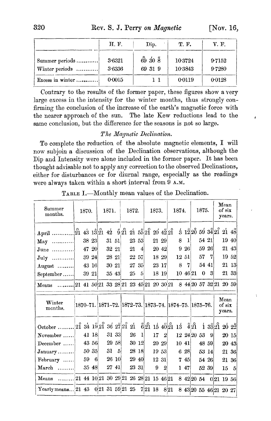|                  | H. F.  | Dip.    | T. F.   | V. F.  |
|------------------|--------|---------|---------|--------|
| Summer periods   | 3.6321 | 69 30 8 | 10 3724 | 9.7152 |
| Winter periods   | 3.6336 | 69 31 9 | 10 3843 | 97280  |
| Excess in winter | 0:0015 | 11      | 0.0119  | 0.0128 |

Contrary to the results of the former paper, these figures show a very large excess in the intensity for the winter months, thus strongly confirming the conclusion of the increase of the earth's magnetic force with the nearer approach of the sun. The late Kew reductions lead to the same conclusion, but the difference for the seasons is not so large.

#### *The Magnetic Declination.*

To complete the reduction of the absolute magnetic elements, I will now subjoin a discussion of the Declination observations, although the Dip and Intensity 'were alone included in the former paper. It has been thought advisable not to apply any correction to the observed Declinations, either for disturbances or for diurnal range, especially as the readings were always taken within a short interval from 9 A.M.

| Summer<br>months.                | 1870.                                                                        |       | 1871.    |                | 1872.                       |                |            | 1873. |                  |      | 1874.                                                           |              |     | 1875.                |       |       | Mean<br>of six<br>years. |       |
|----------------------------------|------------------------------------------------------------------------------|-------|----------|----------------|-----------------------------|----------------|------------|-------|------------------|------|-----------------------------------------------------------------|--------------|-----|----------------------|-------|-------|--------------------------|-------|
|                                  |                                                                              |       |          |                | $921\ 21\ 5521\ 20\ 4221$   |                |            |       |                  |      | $\dot{3}$                                                       |              |     | $12\,20$ 59 $34\,21$ |       |       | 21 48                    |       |
| $\mathbf{May} \dots \dots \dots$ | 38 23                                                                        |       | 31 51    |                | 23 53                       |                |            |       | 21 29            |      | 8                                                               | $\mathbf{1}$ |     | 54 21                |       |       | 19 40                    |       |
| $June \dots \dots$               | 47 20                                                                        |       | $32\,21$ |                | 21                          | $\overline{4}$ |            |       | 20 42            |      | 9                                                               | 26           |     |                      | 59 26 |       | 21 43                    |       |
| $\overline{J}$ uly               | 39 24                                                                        |       | 28 21    |                | 22 57                       |                |            |       | 18 29            |      |                                                                 | 12 51        |     | 57                   | 7     |       | 19 52                    |       |
| August                           | 43 16                                                                        |       | 30 21    |                | 27 35                       |                |            |       | 23 17            |      | 8                                                               | 7            |     | 54 41                |       |       |                          | 21 13 |
| September                        | 39 21                                                                        |       | 35 43    |                | 25                          | 5              |            |       | 18 19            |      | $10^{\circ}$                                                    | 46 21        |     | $\Omega$             | 3     |       |                          | 21 33 |
| Means                            | $21\ \ 41\ \ 50\ \ 21\ \ 33\ \ 28\ \ 21\ \ 23\ \ 45\ \ 21\ \ 20\ \ 30\ \ 21$ |       |          |                |                             |                |            |       |                  |      |                                                                 |              |     | 8 44 20 57 32 21     |       |       | 20 59                    |       |
| Winter<br>months.                |                                                                              |       |          |                |                             |                |            |       |                  |      | 1870-71.   1871-72.   1872-73.   1873-74.   1874-75.   1875-76. |              |     |                      |       |       | Mean<br>of six<br>years. |       |
|                                  |                                                                              |       |          |                |                             |                |            |       |                  |      | $621 \t15 \t4021 \t13$                                          |              | 421 |                      |       | 13321 | 20 22                    |       |
| November                         |                                                                              | 41 18 |          | 31 33          | 26                          | 1              |            | 17    | $\boldsymbol{2}$ |      |                                                                 |              |     | 12 24 20 53          | - 9   |       | 20 15                    |       |
| $December$                       | 43 56                                                                        |       |          | 29 58          |                             | 30 12          |            |       | 20 29            |      |                                                                 | 10 41        |     | 48 59                |       |       | 20 43                    |       |
| $January \dots \dots$            | 50 35                                                                        |       | 31       | $\overline{5}$ |                             | 28 18          |            |       | $19\,$ 53 $\,$   |      |                                                                 | 6 28         |     | 53 14                |       |       | 21 36                    |       |
| February                         | 59                                                                           | 6     |          | 26 10          | 29 40                       |                |            |       | $12 \; 31$       |      | 7                                                               | 45           |     | 54 26                |       |       | 21                       | 36    |
| $\mathbf{March}$                 |                                                                              | 35 48 | 27 41    |                |                             | 23 31          |            | 9     | $\boldsymbol{2}$ |      | 1                                                               | 47           |     | 52 39                |       |       | 15                       | 5     |
| $\bf Means$                      | $21\ 44\ 10\ 21\ 30\ 29\ 21\ 26\ 28\ 21\ 15\ 46\ 21$                         |       |          |                |                             |                |            |       |                  |      |                                                                 |              |     |                      |       |       | 8 42 20 54 0 21 19 56    |       |
| Yearly means $ 21\rangle 43$     |                                                                              |       |          |                | $0.21\ \ 31\ \ 59.21\ \ 25$ |                | $7 21\;18$ |       |                  | 8 21 |                                                                 |              |     |                      |       |       | 8 43 20 55 46 21 20 27   |       |

TABLE I.—Monthly mean values of the Declination.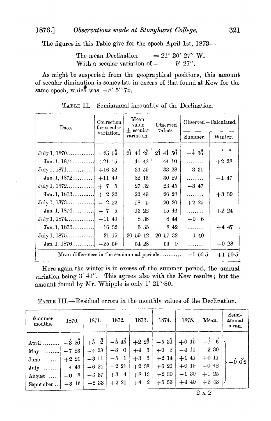The figures in this Table give for the epoch April 1st,  $1873-$ 

The mean Declination  $= 21^{\circ} 20' 27''$  W.<br>With a secular variation of  $-$  9' 27". With a secular variation of  $-$ 

As might be suspected from the geographical positions, this amount of secular diminution is somewhat in excess of that found at Kew for the same epoch, which was  $-8'$  5" $\cdot$ 72.

| Date.                                      | Correction<br>for secular | Mean<br>value<br>$+$ secular                                                     | Observed<br>values. | Observed - Calculated. |                       |  |  |  |
|--------------------------------------------|---------------------------|----------------------------------------------------------------------------------|---------------------|------------------------|-----------------------|--|--|--|
|                                            | variation.                | variation.                                                                       |                     | Summer.                | Winter.               |  |  |  |
| July 1, 1870                               | $+25.59$                  | $2\overset{\phantom{0}}{1}$ $46\overset{\phantom{0}}{2}\overset{\phantom{0}}{6}$ | $2\hat{1}$ 41 50    | $-4.36$                | $\overline{11}$<br>s. |  |  |  |
| Jan. 1, 1871                               | $+21$ 15                  | 41 42                                                                            | 44 10               | .                      | $+2.28$               |  |  |  |
|                                            | $+16.32$                  | 36 59                                                                            | 33 28               | $-331$                 |                       |  |  |  |
| Jan. 1, $1872$                             | $+11$ 49                  | 32 16                                                                            | 30 29               | .                      | $-1$ 47               |  |  |  |
|                                            | $+7,5$                    | 27 32                                                                            | 23 45               | $-347$                 |                       |  |  |  |
| Jan. 1, 1873                               | $+222$                    | 22 49                                                                            | 26 28               | .                      | $+3.39$               |  |  |  |
| July 1, 1873                               | $-22$                     | 18 5                                                                             | 20 30               | $+2,25$                |                       |  |  |  |
| Jan. 1, $1874$                             | $-7,5$                    | 13 22                                                                            | 15 46               | .                      | $+224$                |  |  |  |
|                                            |                           | 838                                                                              | 844                 | $+0$ 6                 |                       |  |  |  |
|                                            |                           | $3\,55$                                                                          | 842                 | .                      | $+4.47$               |  |  |  |
| July 1, 1875                               | $-21,15$                  | 20 59 12                                                                         | 20 57 32            | $-140$                 |                       |  |  |  |
| Jan. 1, $1876$                             | $-25, 59$                 | 54 28                                                                            | 54 0                | .                      | $-0.28$               |  |  |  |
| Mean differences in the semiannual periods |                           |                                                                                  |                     | $-1,50.5$              | $+1,50.5$             |  |  |  |

TABLE IL-Semiannual inequality of the Declination.

Here again the winter is in excess of the summer period, the annual variation being 3' 41". This agrees also with the Kew results; but the amount found by Mr. Whipple is only 1' 21".80.

| Summer<br>months.                                                                                                 | 1870.                                  | 1871.                                                              | 1872.                                                              | 1873.                                                                | 1874.                                                     | 1875.                                                                  | Mean.                                           | Semi-<br>annual<br>mean. |
|-------------------------------------------------------------------------------------------------------------------|----------------------------------------|--------------------------------------------------------------------|--------------------------------------------------------------------|----------------------------------------------------------------------|-----------------------------------------------------------|------------------------------------------------------------------------|-------------------------------------------------|--------------------------|
| April<br>$\mathbf{May} \dots \dots$<br>$June \dots$<br>$July$<br>August $-0$ 8<br>September $\vert -3 \ 16 \vert$ | $-320$<br>$-7,23$<br>$+221$<br>$-4$ 48 | $+5\frac{1}{2}$<br>$-428$<br>$-311$<br>$-624$<br>$-3.37$<br>$+233$ | $-545$<br>$-3\quad0$<br>$-5 \quad 1$<br>$-221$<br>$+3$ 4<br>$+221$ | $+22\frac{3}{2}$<br>$+4$ 3<br>$+3$ 3<br>$+2$ 38<br>$+8$ 13<br>$+4$ 2 | $-534$<br>$+0$ 2<br>$+214$<br>$+626$<br>$+230$<br>$+5,56$ | $+6.1\frac{1}{5}$<br>$-411$<br>$+1$ 41<br>$+0.19$<br>$-1,30$<br>$+440$ | $-230$<br>$+011$<br>$-0.42$<br>$+125$<br>$+243$ | $+66$ <sup>2</sup>       |

 $2$ a $2$